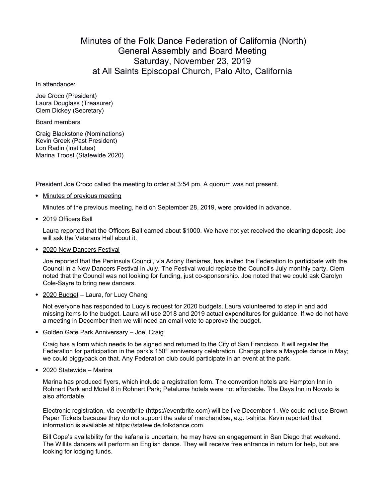## Minutes of the Folk Dance Federation of California (North) General Assembly and Board Meeting Saturday, November 23, 2019 at All Saints Episcopal Church, Palo Alto, California

## In attendance:

Joe Croco (President) Laura Douglass (Treasurer) Clem Dickey (Secretary)

## Board members

Craig Blackstone (Nominations) Kevin Greek (Past President) Lon Radin (Institutes) Marina Troost (Statewide 2020)

President Joe Croco called the meeting to order at 3:54 pm. A quorum was not present.

• Minutes of previous meeting

Minutes of the previous meeting, held on September 28, 2019, were provided in advance.

• 2019 Officers Ball

Laura reported that the Officers Ball earned about \$1000. We have not yet received the cleaning deposit; Joe will ask the Veterans Hall about it.

• 2020 New Dancers Festival

Joe reported that the Peninsula Council, via Adony Beniares, has invited the Federation to participate with the Council in a New Dancers Festival in July. The Festival would replace the Council's July monthly party. Clem noted that the Council was not looking for funding, just co-sponsorship. Joe noted that we could ask Carolyn Cole-Sayre to bring new dancers.

• 2020 Budget – Laura, for Lucy Chang

Not everyone has responded to Lucy's request for 2020 budgets. Laura volunteered to step in and add missing items to the budget. Laura will use 2018 and 2019 actual expenditures for guidance. If we do not have a meeting in December then we will need an email vote to approve the budget.

• Golden Gate Park Anniversary - Joe, Craig

Craig has a form which needs to be signed and returned to the City of San Francisco. It will register the Federation for participation in the park's 150<sup>th</sup> anniversary celebration. Changs plans a Maypole dance in May; we could piggyback on that. Any Federation club could participate in an event at the park.

• 2020 Statewide - Marina

Marina has produced flyers, which include a registration form. The convention hotels are Hampton Inn in Rohnert Park and Motel 8 in Rohnert Park; Petaluma hotels were not affordable. The Days Inn in Novato is also affordable.

Electronic registration, via eventbrite (https://eventbrite.com) will be live December 1. We could not use Brown Paper Tickets because they do not support the sale of merchandise, e.g. t-shirts. Kevin reported that information is available at https://statewide.folkdance.com.

Bill Cope's availability for the kafana is uncertain; he may have an engagement in San Diego that weekend. The Willits dancers will perform an English dance. They will receive free entrance in return for help, but are looking for lodging funds.